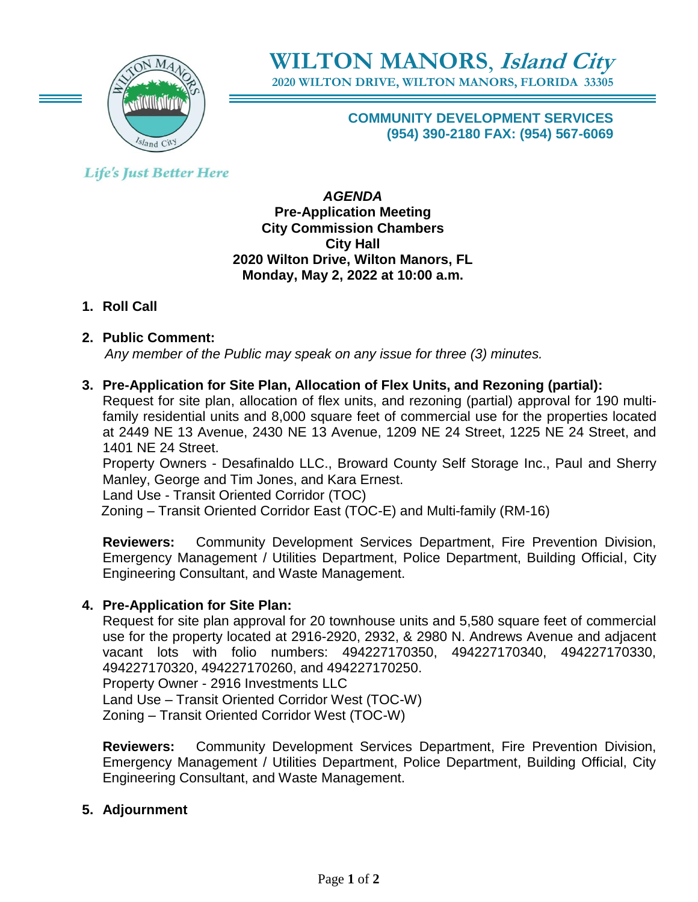

**WILTON MANORS**, **Island City 2020 WILTON DRIVE, WILTON MANORS, FLORIDA 33305**

> **COMMUNITY DEVELOPMENT SERVICES (954) 390-2180 FAX: (954) 567-6069**

# **Life's Just Better Here**

*AGENDA* **Pre-Application Meeting City Commission Chambers City Hall 2020 Wilton Drive, Wilton Manors, FL Monday, May 2, 2022 at 10:00 a.m.**

# **1. Roll Call**

## **2. Public Comment:**

 *Any member of the Public may speak on any issue for three (3) minutes.*

## **3. Pre-Application for Site Plan, Allocation of Flex Units, and Rezoning (partial):**

Request for site plan, allocation of flex units, and rezoning (partial) approval for 190 multifamily residential units and 8,000 square feet of commercial use for the properties located at 2449 NE 13 Avenue, 2430 NE 13 Avenue, 1209 NE 24 Street, 1225 NE 24 Street, and 1401 NE 24 Street.

Property Owners - Desafinaldo LLC., Broward County Self Storage Inc., Paul and Sherry Manley, George and Tim Jones, and Kara Ernest.

Land Use - Transit Oriented Corridor (TOC)

Zoning – Transit Oriented Corridor East (TOC-E) and Multi-family (RM-16)

**Reviewers:** Community Development Services Department, Fire Prevention Division, Emergency Management / Utilities Department, Police Department, Building Official, City Engineering Consultant, and Waste Management.

### **4. Pre-Application for Site Plan:**

Request for site plan approval for 20 townhouse units and 5,580 square feet of commercial use for the property located at 2916-2920, 2932, & 2980 N. Andrews Avenue and adjacent vacant lots with folio numbers: 494227170350, 494227170340, 494227170330, 494227170320, 494227170260, and 494227170250. Property Owner - 2916 Investments LLC Land Use – Transit Oriented Corridor West (TOC-W) Zoning – Transit Oriented Corridor West (TOC-W)

**Reviewers:** Community Development Services Department, Fire Prevention Division, Emergency Management / Utilities Department, Police Department, Building Official, City Engineering Consultant, and Waste Management.

### **5. Adjournment**